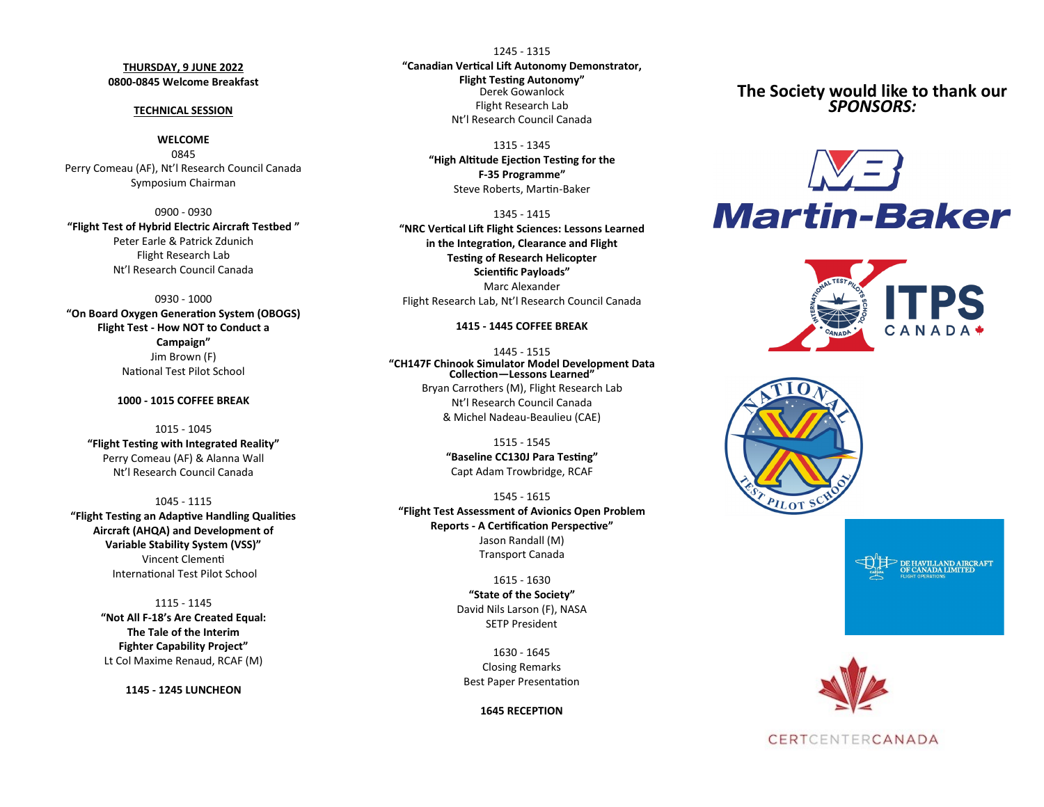# **THURSDAY, 9 JUNE 2022 0800-0845 Welcome Breakfast**

#### **TECHNICAL SESSION**

## **WELCOME**

0845 Perry Comeau (AF), Nt'l Research Council Canada Symposium Chairman

0900 - 0930 **"Flight Test of Hybrid Electric Aircraft Testbed "** Peter Earle & Patrick Zdunich Flight Research Lab Nt'l Research Council Canada

0930 - 1000

**"On Board Oxygen Generation System (OBOGS) Flight Test - How NOT to Conduct a Campaign"** Jim Brown (F) National Test Pilot School

# **1000 - 1015 COFFEE BREAK**

1015 - 1045 **"Flight Testing with Integrated Reality"** Perry Comeau (AF) & Alanna Wall Nt'l Research Council Canada

1045 - 1115 **"Flight Testing an Adaptive Handling Qualities Aircraft (AHQA) and Development of Variable Stability System (VSS)"** Vincent Clementi International Test Pilot School

> 1115 - 1145 **"Not All F-18's Are Created Equal: The Tale of the Interim Fighter Capability Project"** Lt Col Maxime Renaud, RCAF (M)

> > **1145 - 1245 LUNCHEON**

1245 - 1315 **"Canadian Vertical Lift Autonomy Demonstrator, Flight Testing Autonomy"** Derek Gowanlock Flight Research Lab Nt'l Research Council Canada

#### 1315 - 1345

**"High Altitude Ejection Testing for the F-35 Programme"** Steve Roberts, Martin-Baker

1345 - 1415 **"NRC Vertical Lift Flight Sciences: Lessons Learned in the Integration, Clearance and Flight Testing of Research Helicopter Scientific Payloads"**

Marc Alexander Flight Research Lab, Nt'l Research Council Canada

### **1415 - 1445 COFFEE BREAK**

1445 - 1515 **"CH147F Chinook Simulator Model Development Data Collection—Lessons Learned"** Bryan Carrothers (M), Flight Research Lab Nt'l Research Council Canada & Michel Nadeau-Beaulieu (CAE)

> 1515 - 1545 **"Baseline CC130J Para Testing"** Capt Adam Trowbridge, RCAF

1545 - 1615 **"Flight Test Assessment of Avionics Open Problem Reports - A Certification Perspective"** Jason Randall (M) Transport Canada

> 1615 - 1630 **"State of the Society"** David Nils Larson (F), NASA SETP President

1630 - 1645 Closing Remarks Best Paper Presentation

**1645 RECEPTION**

**The Society would like to thank our**  *SPONSORS:*











# CERTCENTERCANADA